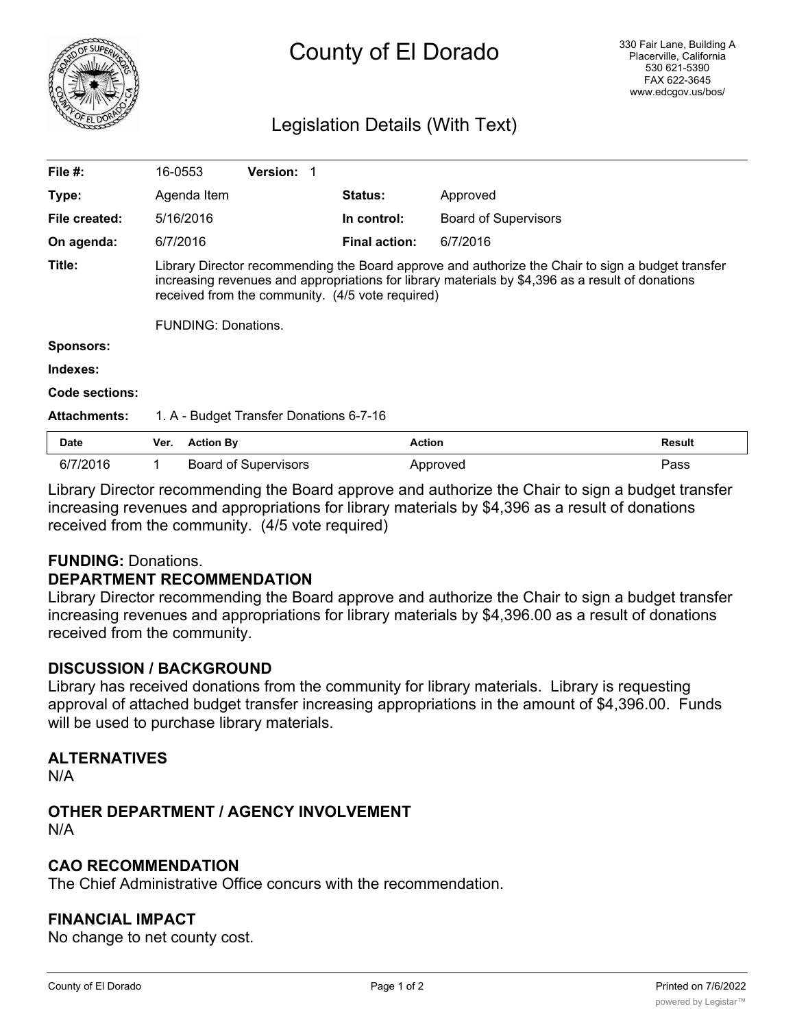

# County of El Dorado

# Legislation Details (With Text)

| File $#$ :            | 16-0553                                                                                                                                                                                                                                                   |                  | <b>Version:</b>             |  |                      |                             |               |  |
|-----------------------|-----------------------------------------------------------------------------------------------------------------------------------------------------------------------------------------------------------------------------------------------------------|------------------|-----------------------------|--|----------------------|-----------------------------|---------------|--|
| Type:                 |                                                                                                                                                                                                                                                           | Agenda Item      |                             |  | <b>Status:</b>       | Approved                    |               |  |
| File created:         |                                                                                                                                                                                                                                                           | 5/16/2016        |                             |  | In control:          | <b>Board of Supervisors</b> |               |  |
| On agenda:            | 6/7/2016                                                                                                                                                                                                                                                  |                  |                             |  | <b>Final action:</b> | 6/7/2016                    |               |  |
| Title:                | Library Director recommending the Board approve and authorize the Chair to sign a budget transfer<br>increasing revenues and appropriations for library materials by \$4,396 as a result of donations<br>received from the community. (4/5 vote required) |                  |                             |  |                      |                             |               |  |
|                       | <b>FUNDING: Donations.</b>                                                                                                                                                                                                                                |                  |                             |  |                      |                             |               |  |
| <b>Sponsors:</b>      |                                                                                                                                                                                                                                                           |                  |                             |  |                      |                             |               |  |
| Indexes:              |                                                                                                                                                                                                                                                           |                  |                             |  |                      |                             |               |  |
| <b>Code sections:</b> |                                                                                                                                                                                                                                                           |                  |                             |  |                      |                             |               |  |
| <b>Attachments:</b>   | 1. A - Budget Transfer Donations 6-7-16                                                                                                                                                                                                                   |                  |                             |  |                      |                             |               |  |
| Date                  | Ver.                                                                                                                                                                                                                                                      | <b>Action By</b> |                             |  | <b>Action</b>        |                             | <b>Result</b> |  |
| 6/7/2016              | 1.                                                                                                                                                                                                                                                        |                  | <b>Board of Supervisors</b> |  |                      | Approved                    | Pass          |  |

Library Director recommending the Board approve and authorize the Chair to sign a budget transfer increasing revenues and appropriations for library materials by \$4,396 as a result of donations received from the community. (4/5 vote required)

# **FUNDING:** Donations.

### **DEPARTMENT RECOMMENDATION**

Library Director recommending the Board approve and authorize the Chair to sign a budget transfer increasing revenues and appropriations for library materials by \$4,396.00 as a result of donations received from the community.

# **DISCUSSION / BACKGROUND**

Library has received donations from the community for library materials. Library is requesting approval of attached budget transfer increasing appropriations in the amount of \$4,396.00. Funds will be used to purchase library materials.

# **ALTERNATIVES**

N/A

#### **OTHER DEPARTMENT / AGENCY INVOLVEMENT** N/A

# **CAO RECOMMENDATION**

The Chief Administrative Office concurs with the recommendation.

# **FINANCIAL IMPACT**

No change to net county cost.